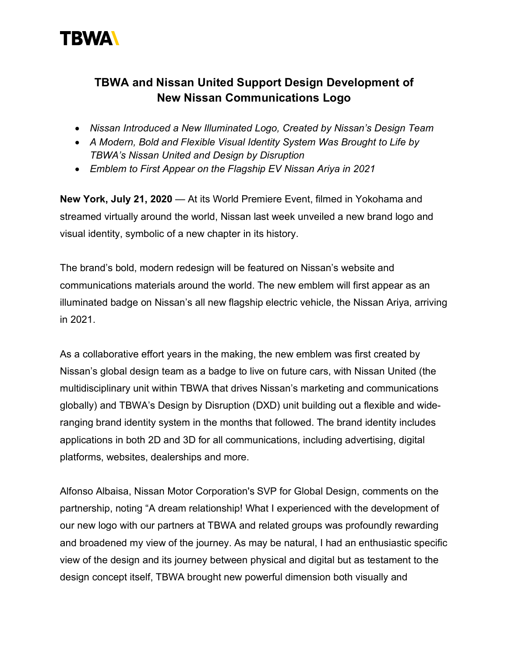

## **TBWA and Nissan United Support Design Development of New Nissan Communications Logo**

- *Nissan Introduced a New Illuminated Logo, Created by Nissan's Design Team*
- *A Modern, Bold and Flexible Visual Identity System Was Brought to Life by TBWA's Nissan United and Design by Disruption*
- *Emblem to First Appear on the Flagship EV Nissan Ariya in 2021*

**New York, July 21, 2020** — At its World Premiere Event, filmed in Yokohama and streamed virtually around the world, Nissan last week unveiled a new brand logo and visual identity, symbolic of a new chapter in its history.

The brand's bold, modern redesign will be featured on Nissan's website and communications materials around the world. The new emblem will first appear as an illuminated badge on Nissan's all new flagship electric vehicle, the Nissan Ariya, arriving in 2021.

As a collaborative effort years in the making, the new emblem was first created by Nissan's global design team as a badge to live on future cars, with Nissan United (the multidisciplinary unit within TBWA that drives Nissan's marketing and communications globally) and TBWA's Design by Disruption (DXD) unit building out a flexible and wideranging brand identity system in the months that followed. The brand identity includes applications in both 2D and 3D for all communications, including advertising, digital platforms, websites, dealerships and more.

Alfonso Albaisa, Nissan Motor Corporation's SVP for Global Design, comments on the partnership, noting "A dream relationship! What I experienced with the development of our new logo with our partners at TBWA and related groups was profoundly rewarding and broadened my view of the journey. As may be natural, I had an enthusiastic specific view of the design and its journey between physical and digital but as testament to the design concept itself, TBWA brought new powerful dimension both visually and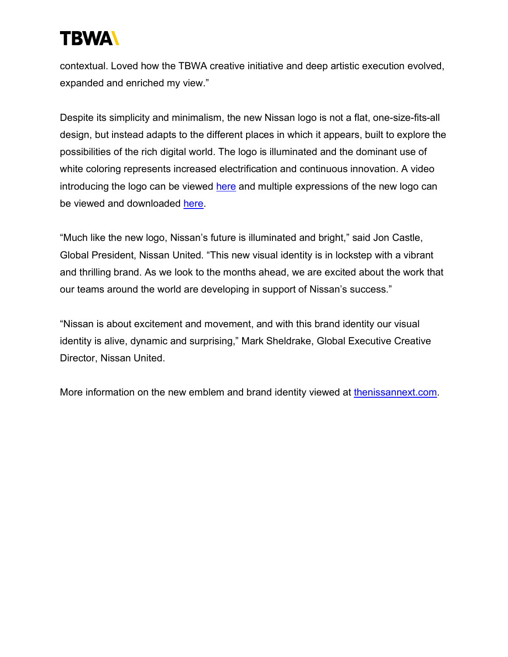

contextual. Loved how the TBWA creative initiative and deep artistic execution evolved, expanded and enriched my view."

Despite its simplicity and minimalism, the new Nissan logo is not a flat, one-size-fits-all design, but instead adapts to the different places in which it appears, built to explore the possibilities of the rich digital world. The logo is illuminated and the dominant use of white coloring represents increased electrification and continuous innovation. A video introducing the logo can be viewed here and multiple expressions of the new logo can be viewed and downloaded here.

"Much like the new logo, Nissan's future is illuminated and bright," said Jon Castle, Global President, Nissan United. "This new visual identity is in lockstep with a vibrant and thrilling brand. As we look to the months ahead, we are excited about the work that our teams around the world are developing in support of Nissan's success."

"Nissan is about excitement and movement, and with this brand identity our visual identity is alive, dynamic and surprising," Mark Sheldrake, Global Executive Creative Director, Nissan United.

More information on the new emblem and brand identity viewed at thenissannext.com.